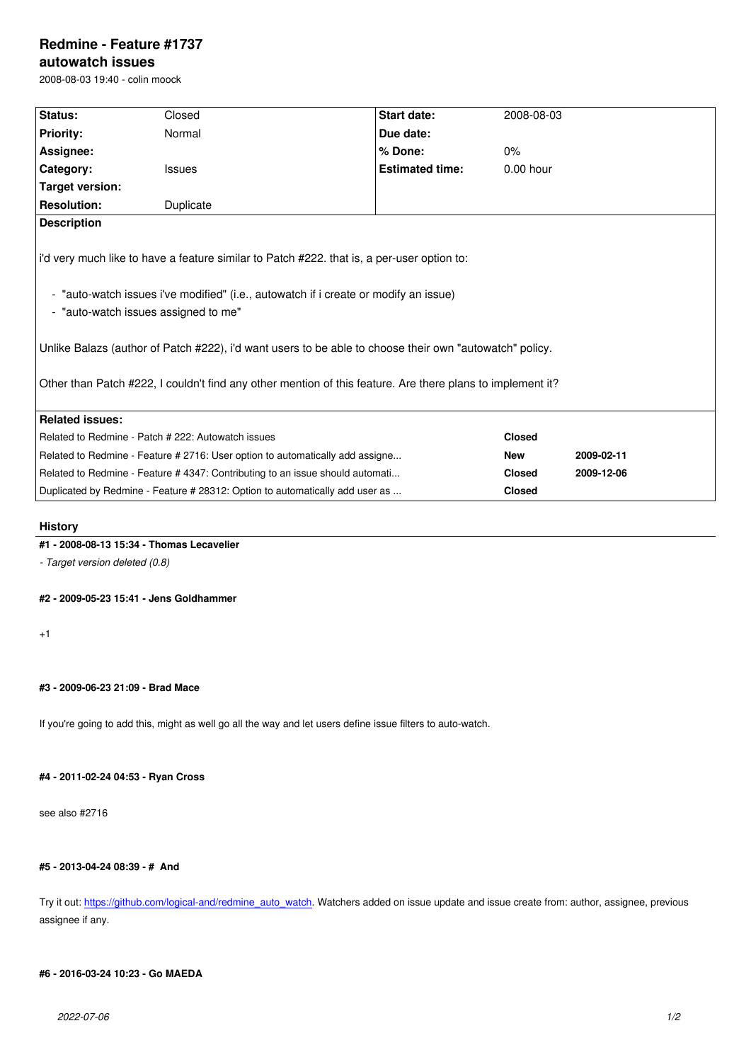#### **autowatch issues**

2008-08-03 19:40 - colin moock

| Status:                                                                                                    | Closed        | <b>Start date:</b>     | 2008-08-03    |            |
|------------------------------------------------------------------------------------------------------------|---------------|------------------------|---------------|------------|
|                                                                                                            | Normal        | Due date:              |               |            |
| <b>Priority:</b>                                                                                           |               |                        |               |            |
| Assignee:                                                                                                  |               | % Done:                | 0%            |            |
| Category:                                                                                                  | <b>Issues</b> | <b>Estimated time:</b> | $0.00$ hour   |            |
| Target version:                                                                                            |               |                        |               |            |
| <b>Resolution:</b>                                                                                         | Duplicate     |                        |               |            |
| <b>Description</b>                                                                                         |               |                        |               |            |
|                                                                                                            |               |                        |               |            |
| i'd very much like to have a feature similar to Patch #222. that is, a per-user option to:                 |               |                        |               |            |
|                                                                                                            |               |                        |               |            |
| - "auto-watch issues i've modified" (i.e., autowatch if i create or modify an issue)                       |               |                        |               |            |
| - "auto-watch issues assigned to me"                                                                       |               |                        |               |            |
|                                                                                                            |               |                        |               |            |
|                                                                                                            |               |                        |               |            |
| Unlike Balazs (author of Patch #222), i'd want users to be able to choose their own "autowatch" policy.    |               |                        |               |            |
|                                                                                                            |               |                        |               |            |
| Other than Patch #222, I couldn't find any other mention of this feature. Are there plans to implement it? |               |                        |               |            |
|                                                                                                            |               |                        |               |            |
| <b>Related issues:</b>                                                                                     |               |                        |               |            |
| Related to Redmine - Patch # 222: Autowatch issues                                                         |               |                        | <b>Closed</b> |            |
| Related to Redmine - Feature # 2716: User option to automatically add assigne                              |               |                        | <b>New</b>    | 2009-02-11 |
| Related to Redmine - Feature #4347: Contributing to an issue should automati                               |               |                        | <b>Closed</b> | 2009-12-06 |
| Duplicated by Redmine - Feature # 28312: Option to automatically add user as                               |               |                        | <b>Closed</b> |            |
|                                                                                                            |               |                        |               |            |

## **History**

# **#1 - 2008-08-13 15:34 - Thomas Lecavelier**

*- Target version deleted (0.8)*

#### **#2 - 2009-05-23 15:41 - Jens Goldhammer**

+1

#### **#3 - 2009-06-23 21:09 - Brad Mace**

If you're going to add this, might as well go all the way and let users define issue filters to auto-watch.

## **#4 - 2011-02-24 04:53 - Ryan Cross**

see also #2716

#### **#5 - 2013-04-24 08:39 - # And**

Try it out: https://github.com/logical-and/redmine\_auto\_watch. Watchers added on issue update and issue create from: author, assignee, previous assignee if any.

### **#6 - 2016[-03-24 10:23 - Go MAEDA](https://github.com/logical-and/redmine_auto_watch)**